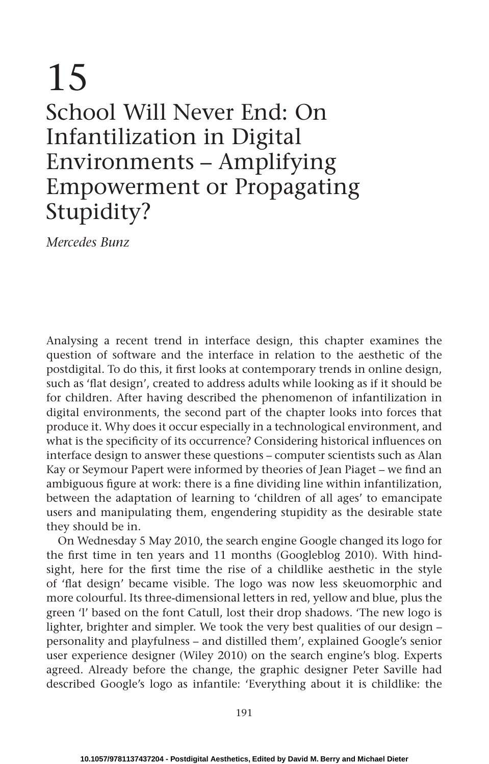## 15 School Will Never End: On Infantilization in Digital Environments – Amplifying Empowerment or Propagating Stupidity?

*Mercedes Bunz*

Analysing a recent trend in interface design, this chapter examines the question of software and the interface in relation to the aesthetic of the postdigital. To do this, it first looks at contemporary trends in online design, such as 'flat design', created to address adults while looking as if it should be for children. After having described the phenomenon of infantilization in digital environments, the second part of the chapter looks into forces that produce it. Why does it occur especially in a technological environment, and what is the specificity of its occurrence? Considering historical influences on interface design to answer these questions – computer scientists such as Alan Kay or Seymour Papert were informed by theories of Jean Piaget – we find an ambiguous figure at work: there is a fine dividing line within infantilization, between the adaptation of learning to 'children of all ages' to emancipate users and manipulating them, engendering stupidity as the desirable state they should be in.

On Wednesday 5 May 2010, the search engine Google changed its logo for the first time in ten years and 11 months (Googleblog 2010). With hindsight, here for the first time the rise of a childlike aesthetic in the style of 'flat design' became visible. The logo was now less skeuomorphic and more colourful. Its three-dimensional letters in red, yellow and blue, plus the green 'l' based on the font Catull, lost their drop shadows. 'The new logo is lighter, brighter and simpler. We took the very best qualities of our design – personality and playfulness – and distilled them', explained Google's senior user experience designer (Wiley 2010) on the search engine's blog. Experts agreed. Already before the change, the graphic designer Peter Saville had described Google's logo as infantile: 'Everything about it is childlike: the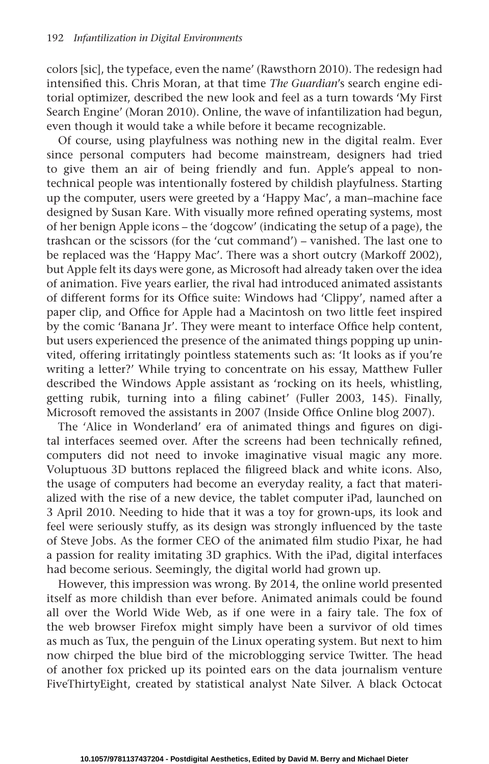colors [sic], the typeface, even the name' (Rawsthorn 2010). The redesign had intensified this. Chris Moran, at that time *The Guardian*'s search engine editorial optimizer, described the new look and feel as a turn towards 'My First Search Engine' (Moran 2010). Online, the wave of infantilization had begun, even though it would take a while before it became recognizable.

Of course, using playfulness was nothing new in the digital realm. Ever since personal computers had become mainstream, designers had tried to give them an air of being friendly and fun. Apple's appeal to nontechnical people was intentionally fostered by childish playfulness. Starting up the computer, users were greeted by a 'Happy Mac', a man–machine face designed by Susan Kare. With visually more refined operating systems, most of her benign Apple icons – the 'dogcow' (indicating the setup of a page), the trashcan or the scissors (for the 'cut command') – vanished. The last one to be replaced was the 'Happy Mac'. There was a short outcry (Markoff 2002), but Apple felt its days were gone, as Microsoft had already taken over the idea of animation. Five years earlier, the rival had introduced animated assistants of different forms for its Office suite: Windows had 'Clippy', named after a paper clip, and Office for Apple had a Macintosh on two little feet inspired by the comic 'Banana Jr'. They were meant to interface Office help content, but users experienced the presence of the animated things popping up uninvited, offering irritatingly pointless statements such as: 'It looks as if you're writing a letter?' While trying to concentrate on his essay, Matthew Fuller described the Windows Apple assistant as 'rocking on its heels, whistling, getting rubik, turning into a filing cabinet' (Fuller 2003, 145). Finally, Microsoft removed the assistants in 2007 (Inside Office Online blog 2007).

The 'Alice in Wonderland' era of animated things and figures on digital interfaces seemed over. After the screens had been technically refined, computers did not need to invoke imaginative visual magic any more. Voluptuous 3D buttons replaced the filigreed black and white icons. Also, the usage of computers had become an everyday reality, a fact that materialized with the rise of a new device, the tablet computer iPad, launched on 3 April 2010. Needing to hide that it was a toy for grown-ups, its look and feel were seriously stuffy, as its design was strongly influenced by the taste of Steve Jobs. As the former CEO of the animated film studio Pixar, he had a passion for reality imitating 3D graphics. With the iPad, digital interfaces had become serious. Seemingly, the digital world had grown up.

However, this impression was wrong. By 2014, the online world presented itself as more childish than ever before. Animated animals could be found all over the World Wide Web, as if one were in a fairy tale. The fox of the web browser Firefox might simply have been a survivor of old times as much as Tux, the penguin of the Linux operating system. But next to him now chirped the blue bird of the microblogging service Twitter. The head of another fox pricked up its pointed ears on the data journalism venture FiveThirtyEight, created by statistical analyst Nate Silver. A black Octocat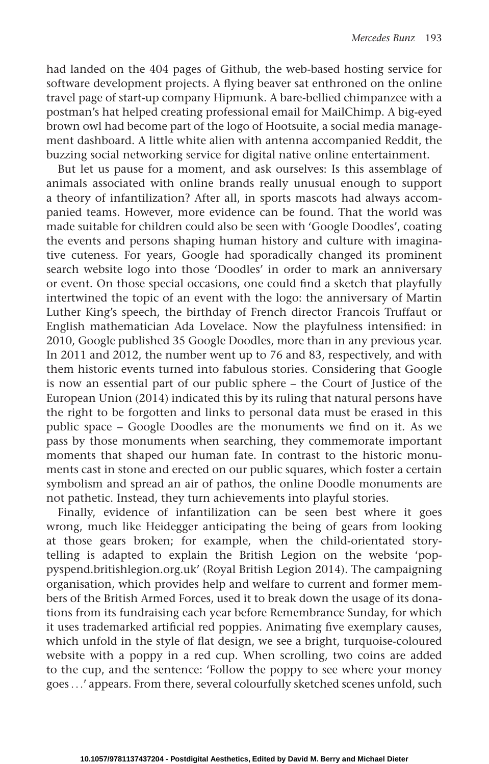had landed on the 404 pages of Github, the web-based hosting service for software development projects. A flying beaver sat enthroned on the online travel page of start-up company Hipmunk. A bare-bellied chimpanzee with a postman's hat helped creating professional email for MailChimp. A big-eyed brown owl had become part of the logo of Hootsuite, a social media management dashboard. A little white alien with antenna accompanied Reddit, the buzzing social networking service for digital native online entertainment.

But let us pause for a moment, and ask ourselves: Is this assemblage of animals associated with online brands really unusual enough to support a theory of infantilization? After all, in sports mascots had always accompanied teams. However, more evidence can be found. That the world was made suitable for children could also be seen with 'Google Doodles', coating the events and persons shaping human history and culture with imaginative cuteness. For years, Google had sporadically changed its prominent search website logo into those 'Doodles' in order to mark an anniversary or event. On those special occasions, one could find a sketch that playfully intertwined the topic of an event with the logo: the anniversary of Martin Luther King's speech, the birthday of French director Francois Truffaut or English mathematician Ada Lovelace. Now the playfulness intensified: in 2010, Google published 35 Google Doodles, more than in any previous year. In 2011 and 2012, the number went up to 76 and 83, respectively, and with them historic events turned into fabulous stories. Considering that Google is now an essential part of our public sphere – the Court of Justice of the European Union (2014) indicated this by its ruling that natural persons have the right to be forgotten and links to personal data must be erased in this public space – Google Doodles are the monuments we find on it. As we pass by those monuments when searching, they commemorate important moments that shaped our human fate. In contrast to the historic monuments cast in stone and erected on our public squares, which foster a certain symbolism and spread an air of pathos, the online Doodle monuments are not pathetic. Instead, they turn achievements into playful stories.

Finally, evidence of infantilization can be seen best where it goes wrong, much like Heidegger anticipating the being of gears from looking at those gears broken; for example, when the child-orientated storytelling is adapted to explain the British Legion on the website 'poppyspend.britishlegion.org.uk' (Royal British Legion 2014). The campaigning organisation, which provides help and welfare to current and former members of the British Armed Forces, used it to break down the usage of its donations from its fundraising each year before Remembrance Sunday, for which it uses trademarked artificial red poppies. Animating five exemplary causes, which unfold in the style of flat design, we see a bright, turquoise-coloured website with a poppy in a red cup. When scrolling, two coins are added to the cup, and the sentence: 'Follow the poppy to see where your money goes ...' appears. From there, several colourfully sketched scenes unfold, such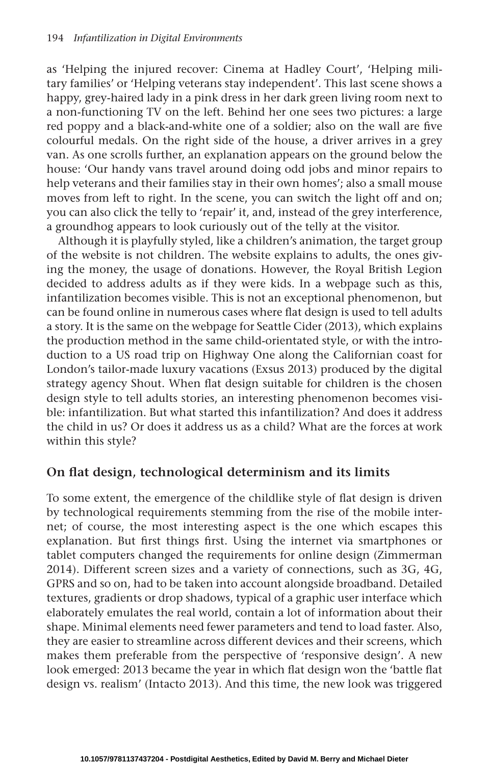as 'Helping the injured recover: Cinema at Hadley Court', 'Helping military families' or 'Helping veterans stay independent'. This last scene shows a happy, grey-haired lady in a pink dress in her dark green living room next to a non-functioning TV on the left. Behind her one sees two pictures: a large red poppy and a black-and-white one of a soldier; also on the wall are five colourful medals. On the right side of the house, a driver arrives in a grey van. As one scrolls further, an explanation appears on the ground below the house: 'Our handy vans travel around doing odd jobs and minor repairs to help veterans and their families stay in their own homes'; also a small mouse moves from left to right. In the scene, you can switch the light off and on; you can also click the telly to 'repair' it, and, instead of the grey interference, a groundhog appears to look curiously out of the telly at the visitor.

Although it is playfully styled, like a children's animation, the target group of the website is not children. The website explains to adults, the ones giving the money, the usage of donations. However, the Royal British Legion decided to address adults as if they were kids. In a webpage such as this, infantilization becomes visible. This is not an exceptional phenomenon, but can be found online in numerous cases where flat design is used to tell adults a story. It is the same on the webpage for Seattle Cider (2013), which explains the production method in the same child-orientated style, or with the introduction to a US road trip on Highway One along the Californian coast for London's tailor-made luxury vacations (Exsus 2013) produced by the digital strategy agency Shout. When flat design suitable for children is the chosen design style to tell adults stories, an interesting phenomenon becomes visible: infantilization. But what started this infantilization? And does it address the child in us? Or does it address us as a child? What are the forces at work within this style?

## **On flat design, technological determinism and its limits**

To some extent, the emergence of the childlike style of flat design is driven by technological requirements stemming from the rise of the mobile internet; of course, the most interesting aspect is the one which escapes this explanation. But first things first. Using the internet via smartphones or tablet computers changed the requirements for online design (Zimmerman 2014). Different screen sizes and a variety of connections, such as 3G, 4G, GPRS and so on, had to be taken into account alongside broadband. Detailed textures, gradients or drop shadows, typical of a graphic user interface which elaborately emulates the real world, contain a lot of information about their shape. Minimal elements need fewer parameters and tend to load faster. Also, they are easier to streamline across different devices and their screens, which makes them preferable from the perspective of 'responsive design'. A new look emerged: 2013 became the year in which flat design won the 'battle flat design vs. realism' (Intacto 2013). And this time, the new look was triggered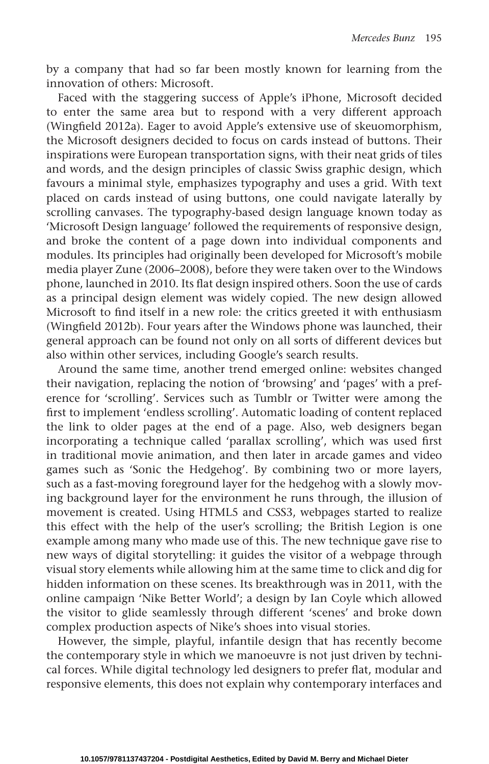by a company that had so far been mostly known for learning from the innovation of others: Microsoft.

Faced with the staggering success of Apple's iPhone, Microsoft decided to enter the same area but to respond with a very different approach (Wingfield 2012a). Eager to avoid Apple's extensive use of skeuomorphism, the Microsoft designers decided to focus on cards instead of buttons. Their inspirations were European transportation signs, with their neat grids of tiles and words, and the design principles of classic Swiss graphic design, which favours a minimal style, emphasizes typography and uses a grid. With text placed on cards instead of using buttons, one could navigate laterally by scrolling canvases. The typography-based design language known today as 'Microsoft Design language' followed the requirements of responsive design, and broke the content of a page down into individual components and modules. Its principles had originally been developed for Microsoft's mobile media player Zune (2006–2008), before they were taken over to the Windows phone, launched in 2010. Its flat design inspired others. Soon the use of cards as a principal design element was widely copied. The new design allowed Microsoft to find itself in a new role: the critics greeted it with enthusiasm (Wingfield 2012b). Four years after the Windows phone was launched, their general approach can be found not only on all sorts of different devices but also within other services, including Google's search results.

Around the same time, another trend emerged online: websites changed their navigation, replacing the notion of 'browsing' and 'pages' with a preference for 'scrolling'. Services such as Tumblr or Twitter were among the first to implement 'endless scrolling'. Automatic loading of content replaced the link to older pages at the end of a page. Also, web designers began incorporating a technique called 'parallax scrolling', which was used first in traditional movie animation, and then later in arcade games and video games such as 'Sonic the Hedgehog'. By combining two or more layers, such as a fast-moving foreground layer for the hedgehog with a slowly moving background layer for the environment he runs through, the illusion of movement is created. Using HTML5 and CSS3, webpages started to realize this effect with the help of the user's scrolling; the British Legion is one example among many who made use of this. The new technique gave rise to new ways of digital storytelling: it guides the visitor of a webpage through visual story elements while allowing him at the same time to click and dig for hidden information on these scenes. Its breakthrough was in 2011, with the online campaign 'Nike Better World'; a design by Ian Coyle which allowed the visitor to glide seamlessly through different 'scenes' and broke down complex production aspects of Nike's shoes into visual stories.

However, the simple, playful, infantile design that has recently become the contemporary style in which we manoeuvre is not just driven by technical forces. While digital technology led designers to prefer flat, modular and responsive elements, this does not explain why contemporary interfaces and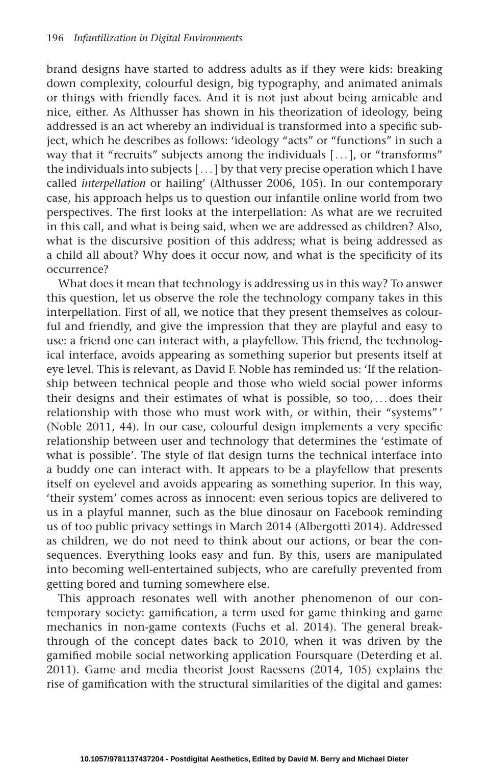brand designs have started to address adults as if they were kids: breaking down complexity, colourful design, big typography, and animated animals or things with friendly faces. And it is not just about being amicable and nice, either. As Althusser has shown in his theorization of ideology, being addressed is an act whereby an individual is transformed into a specific subject, which he describes as follows: 'ideology "acts" or "functions" in such a way that it "recruits" subjects among the individuals [... ], or "transforms" the individuals into subjects [ ... ] by that very precise operation which I have called *interpellation* or hailing' (Althusser 2006, 105). In our contemporary case, his approach helps us to question our infantile online world from two perspectives. The first looks at the interpellation: As what are we recruited in this call, and what is being said, when we are addressed as children? Also, what is the discursive position of this address; what is being addressed as a child all about? Why does it occur now, and what is the specificity of its occurrence?

What does it mean that technology is addressing us in this way? To answer this question, let us observe the role the technology company takes in this interpellation. First of all, we notice that they present themselves as colourful and friendly, and give the impression that they are playful and easy to use: a friend one can interact with, a playfellow. This friend, the technological interface, avoids appearing as something superior but presents itself at eye level. This is relevant, as David F. Noble has reminded us: 'If the relationship between technical people and those who wield social power informs their designs and their estimates of what is possible, so too, ... does their relationship with those who must work with, or within, their "systems" ' (Noble 2011, 44). In our case, colourful design implements a very specific relationship between user and technology that determines the 'estimate of what is possible'. The style of flat design turns the technical interface into a buddy one can interact with. It appears to be a playfellow that presents itself on eyelevel and avoids appearing as something superior. In this way, 'their system' comes across as innocent: even serious topics are delivered to us in a playful manner, such as the blue dinosaur on Facebook reminding us of too public privacy settings in March 2014 (Albergotti 2014). Addressed as children, we do not need to think about our actions, or bear the consequences. Everything looks easy and fun. By this, users are manipulated into becoming well-entertained subjects, who are carefully prevented from getting bored and turning somewhere else.

This approach resonates well with another phenomenon of our contemporary society: gamification, a term used for game thinking and game mechanics in non-game contexts (Fuchs et al. 2014). The general breakthrough of the concept dates back to 2010, when it was driven by the gamified mobile social networking application Foursquare (Deterding et al. 2011). Game and media theorist Joost Raessens (2014, 105) explains the rise of gamification with the structural similarities of the digital and games: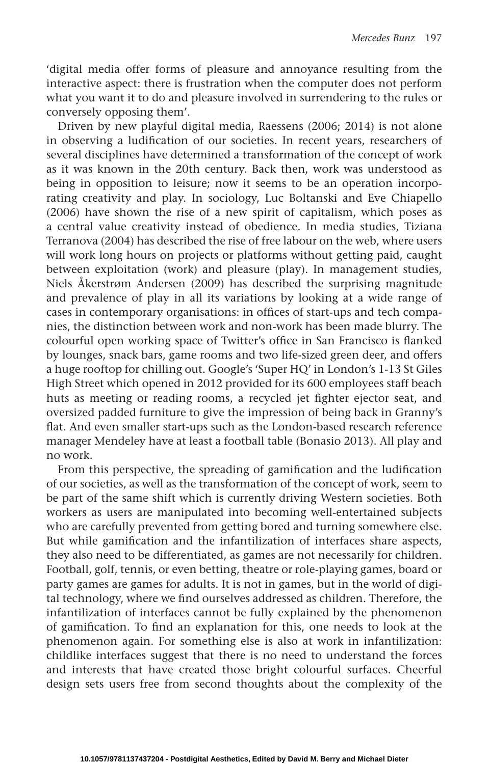'digital media offer forms of pleasure and annoyance resulting from the interactive aspect: there is frustration when the computer does not perform what you want it to do and pleasure involved in surrendering to the rules or conversely opposing them'.

Driven by new playful digital media, Raessens (2006; 2014) is not alone in observing a ludification of our societies. In recent years, researchers of several disciplines have determined a transformation of the concept of work as it was known in the 20th century. Back then, work was understood as being in opposition to leisure; now it seems to be an operation incorporating creativity and play. In sociology, Luc Boltanski and Eve Chiapello (2006) have shown the rise of a new spirit of capitalism, which poses as a central value creativity instead of obedience. In media studies, Tiziana Terranova (2004) has described the rise of free labour on the web, where users will work long hours on projects or platforms without getting paid, caught between exploitation (work) and pleasure (play). In management studies, Niels Åkerstrøm Andersen (2009) has described the surprising magnitude and prevalence of play in all its variations by looking at a wide range of cases in contemporary organisations: in offices of start-ups and tech companies, the distinction between work and non-work has been made blurry. The colourful open working space of Twitter's office in San Francisco is flanked by lounges, snack bars, game rooms and two life-sized green deer, and offers a huge rooftop for chilling out. Google's 'Super HQ' in London's 1-13 St Giles High Street which opened in 2012 provided for its 600 employees staff beach huts as meeting or reading rooms, a recycled jet fighter ejector seat, and oversized padded furniture to give the impression of being back in Granny's flat. And even smaller start-ups such as the London-based research reference manager Mendeley have at least a football table (Bonasio 2013). All play and no work.

From this perspective, the spreading of gamification and the ludification of our societies, as well as the transformation of the concept of work, seem to be part of the same shift which is currently driving Western societies. Both workers as users are manipulated into becoming well-entertained subjects who are carefully prevented from getting bored and turning somewhere else. But while gamification and the infantilization of interfaces share aspects, they also need to be differentiated, as games are not necessarily for children. Football, golf, tennis, or even betting, theatre or role-playing games, board or party games are games for adults. It is not in games, but in the world of digital technology, where we find ourselves addressed as children. Therefore, the infantilization of interfaces cannot be fully explained by the phenomenon of gamification. To find an explanation for this, one needs to look at the phenomenon again. For something else is also at work in infantilization: childlike interfaces suggest that there is no need to understand the forces and interests that have created those bright colourful surfaces. Cheerful design sets users free from second thoughts about the complexity of the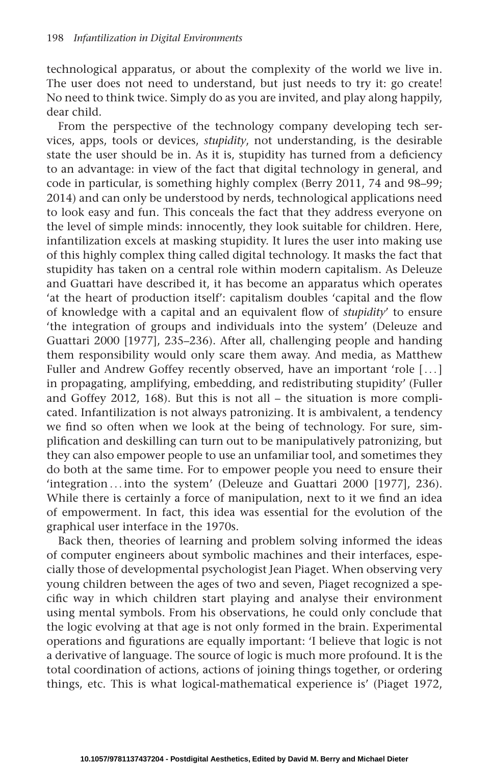technological apparatus, or about the complexity of the world we live in. The user does not need to understand, but just needs to try it: go create! No need to think twice. Simply do as you are invited, and play along happily, dear child.

From the perspective of the technology company developing tech services, apps, tools or devices, *stupidity*, not understanding, is the desirable state the user should be in. As it is, stupidity has turned from a deficiency to an advantage: in view of the fact that digital technology in general, and code in particular, is something highly complex (Berry 2011, 74 and 98–99; 2014) and can only be understood by nerds, technological applications need to look easy and fun. This conceals the fact that they address everyone on the level of simple minds: innocently, they look suitable for children. Here, infantilization excels at masking stupidity. It lures the user into making use of this highly complex thing called digital technology. It masks the fact that stupidity has taken on a central role within modern capitalism. As Deleuze and Guattari have described it, it has become an apparatus which operates 'at the heart of production itself': capitalism doubles 'capital and the flow of knowledge with a capital and an equivalent flow of *stupidity*' to ensure 'the integration of groups and individuals into the system' (Deleuze and Guattari 2000 [1977], 235–236). After all, challenging people and handing them responsibility would only scare them away. And media, as Matthew Fuller and Andrew Goffey recently observed, have an important 'role [...] in propagating, amplifying, embedding, and redistributing stupidity' (Fuller and Goffey 2012, 168). But this is not all – the situation is more complicated. Infantilization is not always patronizing. It is ambivalent, a tendency we find so often when we look at the being of technology. For sure, simplification and deskilling can turn out to be manipulatively patronizing, but they can also empower people to use an unfamiliar tool, and sometimes they do both at the same time. For to empower people you need to ensure their 'integration ... into the system' (Deleuze and Guattari 2000 [1977], 236). While there is certainly a force of manipulation, next to it we find an idea of empowerment. In fact, this idea was essential for the evolution of the graphical user interface in the 1970s.

Back then, theories of learning and problem solving informed the ideas of computer engineers about symbolic machines and their interfaces, especially those of developmental psychologist Jean Piaget. When observing very young children between the ages of two and seven, Piaget recognized a specific way in which children start playing and analyse their environment using mental symbols. From his observations, he could only conclude that the logic evolving at that age is not only formed in the brain. Experimental operations and figurations are equally important: 'I believe that logic is not a derivative of language. The source of logic is much more profound. It is the total coordination of actions, actions of joining things together, or ordering things, etc. This is what logical-mathematical experience is' (Piaget 1972,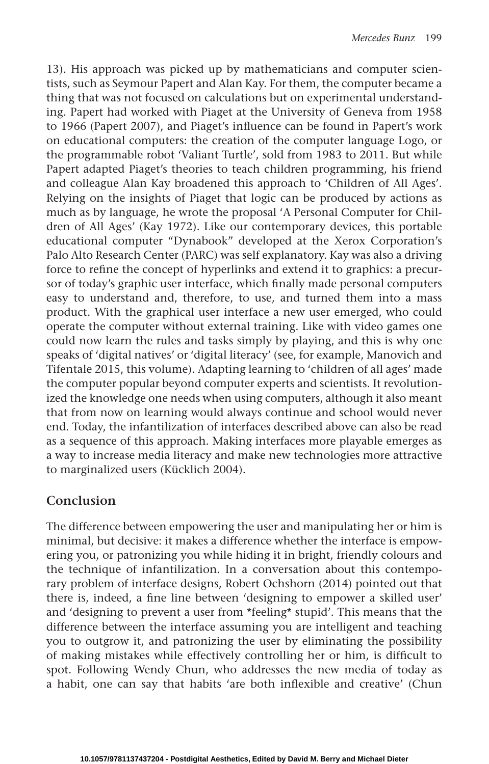13). His approach was picked up by mathematicians and computer scientists, such as Seymour Papert and Alan Kay. For them, the computer became a thing that was not focused on calculations but on experimental understanding. Papert had worked with Piaget at the University of Geneva from 1958 to 1966 (Papert 2007), and Piaget's influence can be found in Papert's work on educational computers: the creation of the computer language Logo, or the programmable robot 'Valiant Turtle', sold from 1983 to 2011. But while Papert adapted Piaget's theories to teach children programming, his friend and colleague Alan Kay broadened this approach to 'Children of All Ages'. Relying on the insights of Piaget that logic can be produced by actions as much as by language, he wrote the proposal 'A Personal Computer for Children of All Ages' (Kay 1972). Like our contemporary devices, this portable educational computer "Dynabook" developed at the Xerox Corporation's Palo Alto Research Center (PARC) was self explanatory. Kay was also a driving force to refine the concept of hyperlinks and extend it to graphics: a precursor of today's graphic user interface, which finally made personal computers easy to understand and, therefore, to use, and turned them into a mass product. With the graphical user interface a new user emerged, who could operate the computer without external training. Like with video games one could now learn the rules and tasks simply by playing, and this is why one speaks of 'digital natives' or 'digital literacy' (see, for example, Manovich and Tifentale 2015, this volume). Adapting learning to 'children of all ages' made the computer popular beyond computer experts and scientists. It revolutionized the knowledge one needs when using computers, although it also meant that from now on learning would always continue and school would never end. Today, the infantilization of interfaces described above can also be read as a sequence of this approach. Making interfaces more playable emerges as a way to increase media literacy and make new technologies more attractive to marginalized users (Kücklich 2004).

## **Conclusion**

The difference between empowering the user and manipulating her or him is minimal, but decisive: it makes a difference whether the interface is empowering you, or patronizing you while hiding it in bright, friendly colours and the technique of infantilization. In a conversation about this contemporary problem of interface designs, Robert Ochshorn (2014) pointed out that there is, indeed, a fine line between 'designing to empower a skilled user' and 'designing to prevent a user from \*feeling\* stupid'. This means that the difference between the interface assuming you are intelligent and teaching you to outgrow it, and patronizing the user by eliminating the possibility of making mistakes while effectively controlling her or him, is difficult to spot. Following Wendy Chun, who addresses the new media of today as a habit, one can say that habits 'are both inflexible and creative' (Chun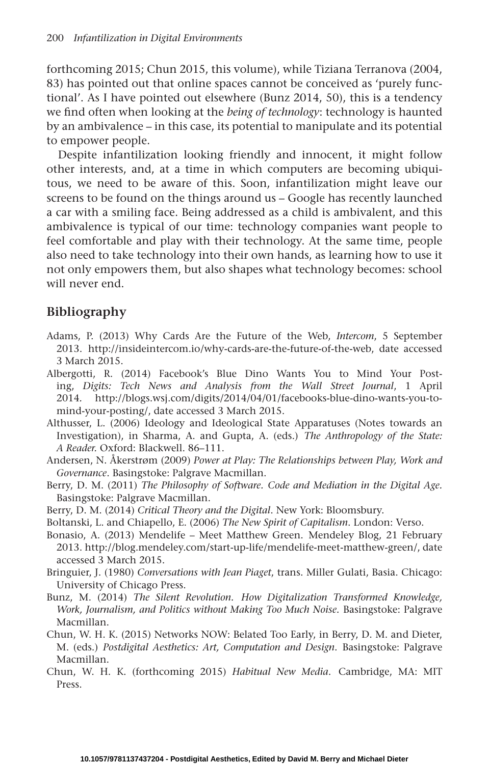forthcoming 2015; Chun 2015, this volume), while Tiziana Terranova (2004, 83) has pointed out that online spaces cannot be conceived as 'purely functional'. As I have pointed out elsewhere (Bunz 2014, 50), this is a tendency we find often when looking at the *being of technology*: technology is haunted by an ambivalence – in this case, its potential to manipulate and its potential to empower people.

Despite infantilization looking friendly and innocent, it might follow other interests, and, at a time in which computers are becoming ubiquitous, we need to be aware of this. Soon, infantilization might leave our screens to be found on the things around us – Google has recently launched a car with a smiling face. Being addressed as a child is ambivalent, and this ambivalence is typical of our time: technology companies want people to feel comfortable and play with their technology. At the same time, people also need to take technology into their own hands, as learning how to use it not only empowers them, but also shapes what technology becomes: school will never end.

## **Bibliography**

- Adams, P. (2013) Why Cards Are the Future of the Web, *Intercom*, 5 September 2013. http://insideintercom.io/why-cards-are-the-future-of-the-web, date accessed 3 March 2015.
- Albergotti, R. (2014) Facebook's Blue Dino Wants You to Mind Your Posting, *Digits: Tech News and Analysis from the Wall Street Journal*, 1 April 2014*.* http://blogs.wsj.com/digits/2014/04/01/facebooks-blue-dino-wants-you-tomind-your-posting/, date accessed 3 March 2015.
- Althusser, L. (2006) Ideology and Ideological State Apparatuses (Notes towards an Investigation), in Sharma, A. and Gupta, A. (eds.) *The Anthropology of the State: A Reader.* Oxford: Blackwell. 86–111.
- Andersen, N. Åkerstrøm (2009) *Power at Play: The Relationships between Play, Work and Governance*. Basingstoke: Palgrave Macmillan.
- Berry, D. M. (2011) *The Philosophy of Software. Code and Mediation in the Digital Age.* Basingstoke: Palgrave Macmillan.
- Berry, D. M. (2014) *Critical Theory and the Digital*. New York: Bloomsbury.
- Boltanski, L. and Chiapello, E. (2006) *The New Spirit of Capitalism*. London: Verso.
- Bonasio, A. (2013) Mendelife Meet Matthew Green. Mendeley Blog, 21 February 2013. http://blog.mendeley.com/start-up-life/mendelife-meet-matthew-green/, date accessed 3 March 2015.
- Bringuier, J. (1980) *Conversations with Jean Piaget*, trans. Miller Gulati, Basia. Chicago: University of Chicago Press.
- Bunz, M. (2014) *The Silent Revolution. How Digitalization Transformed Knowledge, Work, Journalism, and Politics without Making Too Much Noise.* Basingstoke: Palgrave Macmillan.
- Chun, W. H. K. (2015) Networks NOW: Belated Too Early, in Berry, D. M. and Dieter, M. (eds.) *Postdigital Aesthetics: Art, Computation and Design*. Basingstoke: Palgrave Macmillan.
- Chun, W. H. K. (forthcoming 2015) *Habitual New Media*. Cambridge, MA: MIT Press.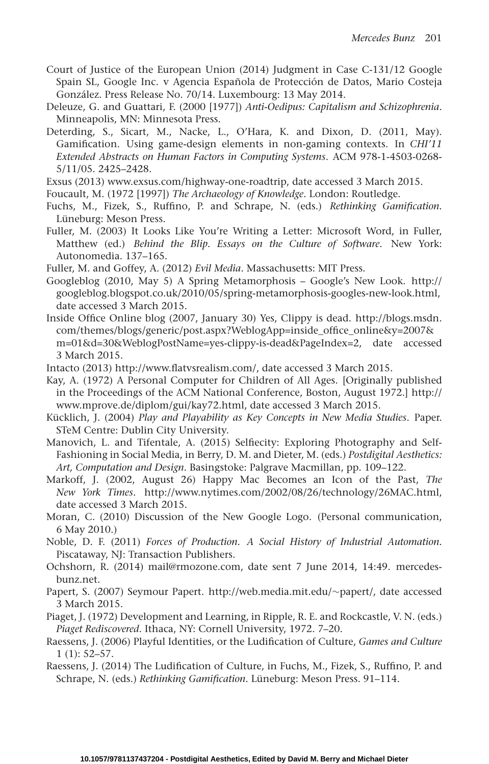- Court of Justice of the European Union (2014) Judgment in Case C-131/12 Google Spain SL, Google Inc. v Agencia Española de Protección de Datos, Mario Costeja González. Press Release No. 70/14. Luxembourg: 13 May 2014.
- Deleuze, G. and Guattari, F. (2000 [1977]) *Anti-Oedipus: Capitalism and Schizophrenia*. Minneapolis, MN: Minnesota Press.
- Deterding, S., Sicart, M., Nacke, L., O'Hara, K. and Dixon, D. (2011, May). Gamification. Using game-design elements in non-gaming contexts. In *CHI'11 Extended Abstracts on Human Factors in Computing Systems*. ACM 978-1-4503-0268- 5/11/05. 2425–2428.
- Exsus (2013) www.exsus.com/highway-one-roadtrip, date accessed 3 March 2015.
- Foucault, M. (1972 [1997]) *The Archaeology of Knowledge*. London: Routledge.
- Fuchs, M., Fizek, S., Ruffino, P. and Schrape, N. (eds.) *Rethinking Gamification.* Lüneburg: Meson Press.
- Fuller, M. (2003) It Looks Like You're Writing a Letter: Microsoft Word, in Fuller, Matthew (ed.) *Behind the Blip. Essays on the Culture of Software.* New York: Autonomedia. 137–165.
- Fuller, M. and Goffey, A. (2012) *Evil Media*. Massachusetts: MIT Press.
- Googleblog (2010, May 5) A Spring Metamorphosis Google's New Look. http:// googleblog.blogspot.co.uk/2010/05/spring-metamorphosis-googles-new-look.html, date accessed 3 March 2015.
- Inside Office Online blog (2007, January 30) Yes, Clippy is dead. http://blogs.msdn. com/themes/blogs/generic/post.aspx?WeblogApp=inside\_office\_online&y=2007& m=01&d=30&WeblogPostName=yes-clippy-is-dead&PageIndex=2, date accessed 3 March 2015.
- Intacto (2013) http://www.flatvsrealism.com/, date accessed 3 March 2015.
- Kay, A. (1972) A Personal Computer for Children of All Ages. [Originally published in the Proceedings of the ACM National Conference, Boston, August 1972.] http:// www.mprove.de/diplom/gui/kay72.html, date accessed 3 March 2015.
- Kücklich, J. (2004) *Play and Playability as Key Concepts in New Media Studies*. Paper. STeM Centre: Dublin City University.
- Manovich, L. and Tifentale, A. (2015) Selfiecity: Exploring Photography and Self-Fashioning in Social Media, in Berry, D. M. and Dieter, M. (eds.) *Postdigital Aesthetics: Art, Computation and Design*. Basingstoke: Palgrave Macmillan, pp. 109–122.
- Markoff, J. (2002, August 26) Happy Mac Becomes an Icon of the Past, *The New York Times*. http://www.nytimes.com/2002/08/26/technology/26MAC.html, date accessed 3 March 2015.
- Moran, C. (2010) Discussion of the New Google Logo. (Personal communication, 6 May 2010.)
- Noble, D. F. (2011) *Forces of Production. A Social History of Industrial Automation.* Piscataway, NJ: Transaction Publishers.
- Ochshorn, R. (2014) mail@rmozone.com, date sent 7 June 2014, 14:49. mercedesbunz.net.
- Papert, S. (2007) Seymour Papert. http://web.media.mit.edu/∼papert/, date accessed 3 March 2015.
- Piaget, J. (1972) Development and Learning, in Ripple, R. E. and Rockcastle, V. N. (eds.) *Piaget Rediscovered*. Ithaca, NY: Cornell University, 1972. 7–20.
- Raessens, J. (2006) Playful Identities, or the Ludification of Culture, *Games and Culture* 1 (1): 52–57.
- Raessens, J. (2014) The Ludification of Culture, in Fuchs, M., Fizek, S., Ruffino, P. and Schrape, N. (eds.) *Rethinking Gamification.* Lüneburg: Meson Press. 91–114.